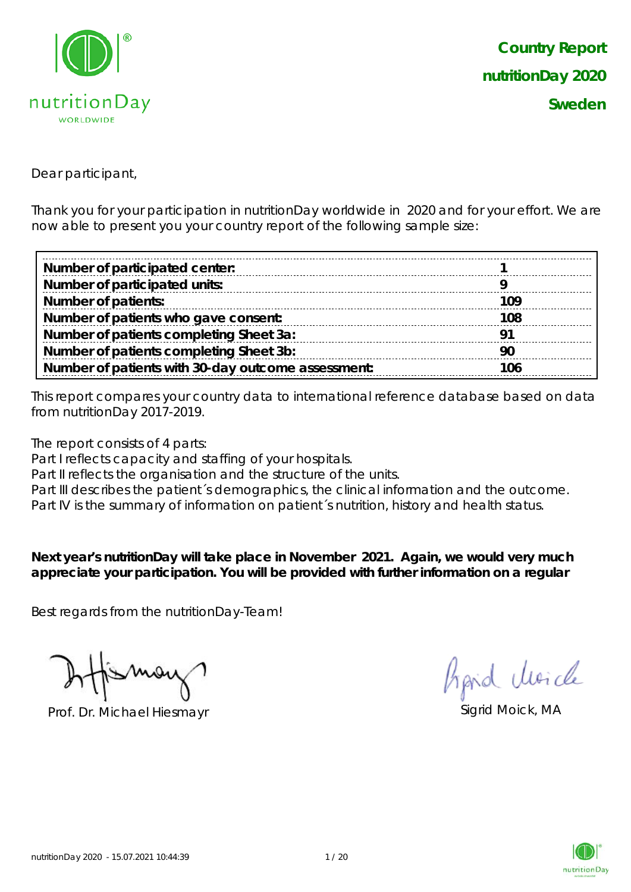

Dear participant,

Thank you for your participation in nutritionDay worldwide in 2020 and for your effort. We are now able to present you your country report of the following sample size:

| Number of participated center:                     |      |
|----------------------------------------------------|------|
| Number of participated units:                      |      |
| <b>Number of patients:</b>                         | 109  |
| Number of patients who gave consent:               | 108  |
| Number of patients completing Sheet 3a:            | ∣ Q∙ |
| Number of patients completing Sheet 3b:            | 90   |
| Number of patients with 30-day outcome assessment: | 106  |

This report compares your country data to international reference database based on data from nutritionDay 2017-2019.

The report consists of 4 parts:

Part I reflects capacity and staffing of your hospitals.

Part II reflects the organisation and the structure of the units.

Part III describes the patient's demographics, the clinical information and the outcome.

Part IV is the summary of information on patient´s nutrition, history and health status.

**Next year's nutritionDay will take place in November 2021. Again, we would very much appreciate your participation. You will be provided with further information on a regular** 

Best regards from the nutritionDay-Team!

Prof. Dr. Michael Hiesmayr Sigrid Moick, MA

hand clearcle

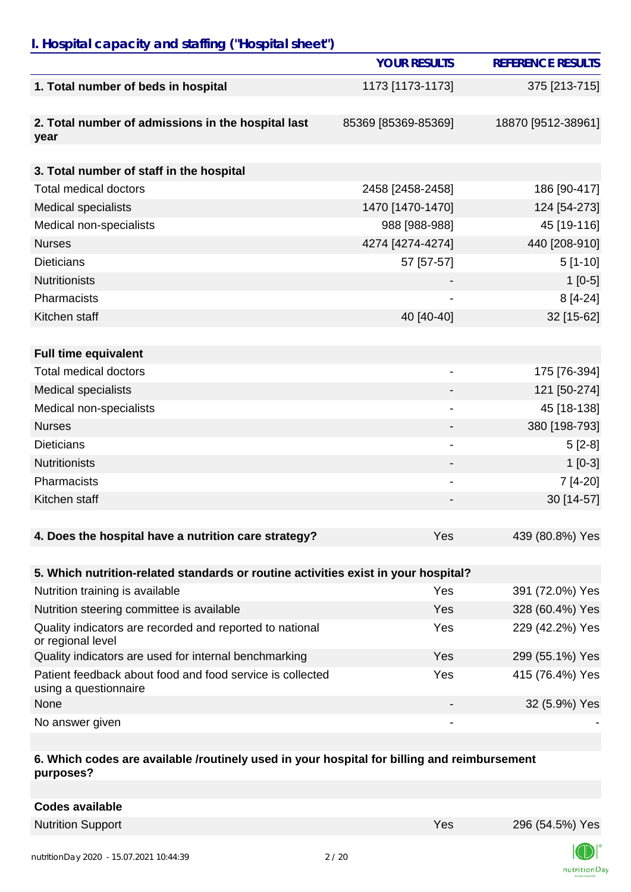## *I. Hospital capacity and staffing ("Hospital sheet")*

|                                                                                    | <b>YOUR RESULTS</b>      | <b>REFERENCE RESULTS</b> |
|------------------------------------------------------------------------------------|--------------------------|--------------------------|
| 1. Total number of beds in hospital                                                | 1173 [1173-1173]         | 375 [213-715]            |
|                                                                                    |                          |                          |
| 2. Total number of admissions in the hospital last<br>year                         | 85369 [85369-85369]      | 18870 [9512-38961]       |
|                                                                                    |                          |                          |
| 3. Total number of staff in the hospital                                           |                          |                          |
| <b>Total medical doctors</b>                                                       | 2458 [2458-2458]         | 186 [90-417]             |
| <b>Medical specialists</b>                                                         | 1470 [1470-1470]         | 124 [54-273]             |
| Medical non-specialists                                                            | 988 [988-988]            | 45 [19-116]              |
| <b>Nurses</b>                                                                      | 4274 [4274-4274]         | 440 [208-910]            |
| <b>Dieticians</b>                                                                  | 57 [57-57]               | $5[1-10]$                |
| <b>Nutritionists</b>                                                               |                          | $1[0-5]$                 |
| Pharmacists                                                                        |                          | $8[4-24]$                |
| Kitchen staff                                                                      | 40 [40-40]               | 32 [15-62]               |
|                                                                                    |                          |                          |
| <b>Full time equivalent</b>                                                        |                          |                          |
| <b>Total medical doctors</b>                                                       | $\overline{\phantom{a}}$ | 175 [76-394]             |
| <b>Medical specialists</b>                                                         |                          | 121 [50-274]             |
| Medical non-specialists                                                            |                          | 45 [18-138]              |
| <b>Nurses</b>                                                                      |                          | 380 [198-793]            |
| <b>Dieticians</b>                                                                  |                          | $5[2-8]$                 |
| <b>Nutritionists</b>                                                               |                          | $1[0-3]$                 |
| Pharmacists                                                                        |                          | 7 [4-20]                 |
| Kitchen staff                                                                      |                          | 30 [14-57]               |
|                                                                                    |                          |                          |
| 4. Does the hospital have a nutrition care strategy?                               | Yes                      | 439 (80.8%) Yes          |
|                                                                                    |                          |                          |
| 5. Which nutrition-related standards or routine activities exist in your hospital? |                          |                          |
| Nutrition training is available                                                    | Yes                      | 391 (72.0%) Yes          |
| Nutrition steering committee is available                                          | Yes                      | 328 (60.4%) Yes          |
| Quality indicators are recorded and reported to national<br>or regional level      | Yes                      | 229 (42.2%) Yes          |
| Quality indicators are used for internal benchmarking                              | Yes                      | 299 (55.1%) Yes          |
| Patient feedback about food and food service is collected<br>using a questionnaire | Yes                      | 415 (76.4%) Yes          |
| None                                                                               |                          | 32 (5.9%) Yes            |

No answer given

#### **6. Which codes are available /routinely used in your hospital for billing and reimbursement purposes?**

Nutrition Support **Nutrition Support** 296 (54.5%) Yes 296 (54.5%) Yes

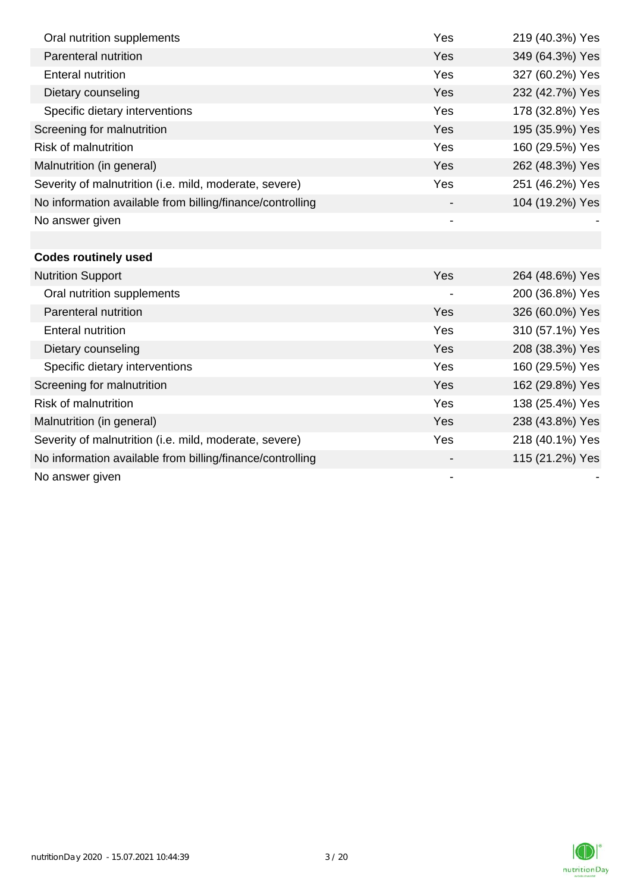| Oral nutrition supplements                                | Yes | 219 (40.3%) Yes |
|-----------------------------------------------------------|-----|-----------------|
| Parenteral nutrition                                      | Yes | 349 (64.3%) Yes |
| <b>Enteral nutrition</b>                                  | Yes | 327 (60.2%) Yes |
| Dietary counseling                                        | Yes | 232 (42.7%) Yes |
| Specific dietary interventions                            | Yes | 178 (32.8%) Yes |
| Screening for malnutrition                                | Yes | 195 (35.9%) Yes |
| <b>Risk of malnutrition</b>                               | Yes | 160 (29.5%) Yes |
| Malnutrition (in general)                                 | Yes | 262 (48.3%) Yes |
| Severity of malnutrition (i.e. mild, moderate, severe)    | Yes | 251 (46.2%) Yes |
| No information available from billing/finance/controlling |     | 104 (19.2%) Yes |
| No answer given                                           |     |                 |
|                                                           |     |                 |
| <b>Codes routinely used</b>                               |     |                 |
| <b>Nutrition Support</b>                                  | Yes | 264 (48.6%) Yes |
| Oral nutrition supplements                                |     | 200 (36.8%) Yes |
| Parenteral nutrition                                      | Yes | 326 (60.0%) Yes |
| <b>Enteral nutrition</b>                                  | Yes | 310 (57.1%) Yes |
| Dietary counseling                                        | Yes | 208 (38.3%) Yes |
| Specific dietary interventions                            | Yes | 160 (29.5%) Yes |
| Screening for malnutrition                                | Yes | 162 (29.8%) Yes |
| <b>Risk of malnutrition</b>                               | Yes | 138 (25.4%) Yes |
| Malnutrition (in general)                                 | Yes | 238 (43.8%) Yes |
| Severity of malnutrition (i.e. mild, moderate, severe)    | Yes | 218 (40.1%) Yes |
| No information available from billing/finance/controlling |     | 115 (21.2%) Yes |
| No answer given                                           |     |                 |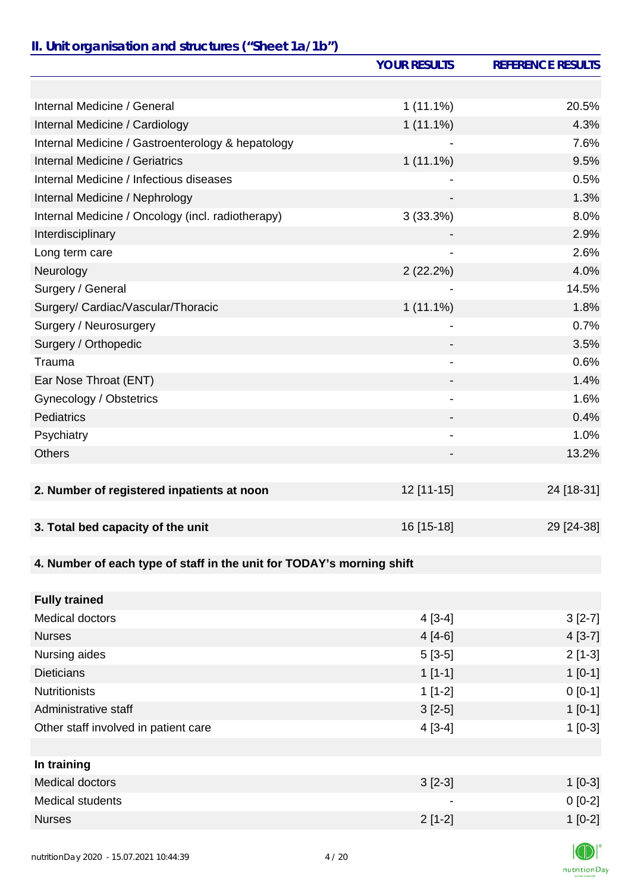### *II. Unit organisation and structures ("Sheet 1a/1b")*

|                                                                       | <b>YOUR RESULTS</b> | <b>REFERENCE RESULTS</b> |
|-----------------------------------------------------------------------|---------------------|--------------------------|
|                                                                       |                     |                          |
| Internal Medicine / General                                           | $1(11.1\%)$         | 20.5%                    |
| Internal Medicine / Cardiology                                        | $1(11.1\%)$         | 4.3%                     |
| Internal Medicine / Gastroenterology & hepatology                     |                     | 7.6%                     |
| <b>Internal Medicine / Geriatrics</b>                                 | $1(11.1\%)$         | 9.5%                     |
| Internal Medicine / Infectious diseases                               |                     | 0.5%                     |
| Internal Medicine / Nephrology                                        |                     | 1.3%                     |
| Internal Medicine / Oncology (incl. radiotherapy)                     | 3(33.3%)            | 8.0%                     |
| Interdisciplinary                                                     |                     | 2.9%                     |
| Long term care                                                        |                     | 2.6%                     |
| Neurology                                                             | 2(22.2%)            | 4.0%                     |
| Surgery / General                                                     |                     | 14.5%                    |
| Surgery/ Cardiac/Vascular/Thoracic                                    | $1(11.1\%)$         | 1.8%                     |
| Surgery / Neurosurgery                                                |                     | 0.7%                     |
| Surgery / Orthopedic                                                  |                     | 3.5%                     |
| Trauma                                                                |                     | 0.6%                     |
| Ear Nose Throat (ENT)                                                 |                     | 1.4%                     |
| Gynecology / Obstetrics                                               | -                   | 1.6%                     |
| Pediatrics                                                            |                     | 0.4%                     |
| Psychiatry                                                            | -                   | 1.0%                     |
| <b>Others</b>                                                         |                     | 13.2%                    |
|                                                                       |                     |                          |
| 2. Number of registered inpatients at noon                            | 12 [11-15]          | 24 [18-31]               |
|                                                                       |                     |                          |
| 3. Total bed capacity of the unit                                     | 16 [15-18]          | 29 [24-38]               |
| 4. Number of each type of staff in the unit for TODAY's morning shift |                     |                          |
|                                                                       |                     |                          |
| <b>Fully trained</b>                                                  |                     |                          |
| <b>Medical doctors</b>                                                | $4[3-4]$            | $3[2-7]$                 |
| <b>Nurses</b>                                                         | $4[4-6]$            | $4[3-7]$                 |
| Nursing aides                                                         | $5[3-5]$            | $2[1-3]$                 |
| <b>Dieticians</b>                                                     | $1[1-1]$            | $1[0-1]$                 |
| <b>Nutritionists</b>                                                  | $1[1-2]$            | $0 [0-1]$                |
| Administrative staff                                                  | $3[2-5]$            | $1[0-1]$                 |
| Other staff involved in patient care                                  | $4[3-4]$            | $1[0-3]$                 |
|                                                                       |                     |                          |
| In training                                                           |                     |                          |
| <b>Medical doctors</b>                                                | $3[2-3]$            | $1[0-3]$                 |
| Medical students                                                      |                     | $0[0-2]$                 |
| <b>Nurses</b>                                                         | $2[1-2]$            | $1[0-2]$                 |
|                                                                       |                     |                          |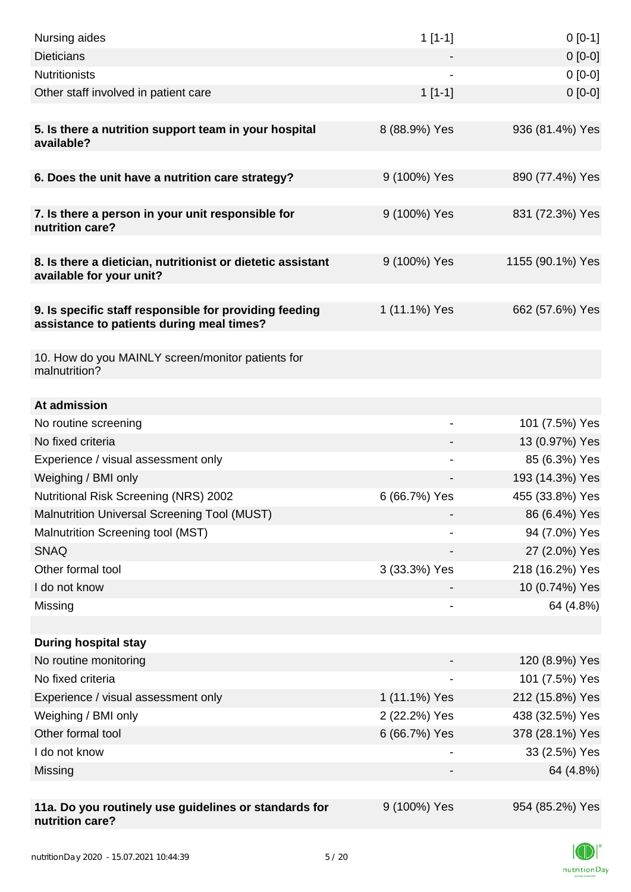| Nursing aides                                                                                       | $1[1-1]$      | $0[0-1]$         |
|-----------------------------------------------------------------------------------------------------|---------------|------------------|
| <b>Dieticians</b>                                                                                   |               | $0[0-0]$         |
| <b>Nutritionists</b>                                                                                |               | $0[0-0]$         |
| Other staff involved in patient care                                                                | $1[1-1]$      | $0 [0-0]$        |
| 5. Is there a nutrition support team in your hospital<br>available?                                 | 8 (88.9%) Yes | 936 (81.4%) Yes  |
| 6. Does the unit have a nutrition care strategy?                                                    | 9 (100%) Yes  | 890 (77.4%) Yes  |
| 7. Is there a person in your unit responsible for<br>nutrition care?                                | 9 (100%) Yes  | 831 (72.3%) Yes  |
| 8. Is there a dietician, nutritionist or dietetic assistant<br>available for your unit?             | 9 (100%) Yes  | 1155 (90.1%) Yes |
| 9. Is specific staff responsible for providing feeding<br>assistance to patients during meal times? | 1 (11.1%) Yes | 662 (57.6%) Yes  |
| 10. How do you MAINLY screen/monitor patients for<br>malnutrition?                                  |               |                  |
| At admission                                                                                        |               |                  |
| No routine screening                                                                                | -             | 101 (7.5%) Yes   |
| No fixed criteria                                                                                   |               | 13 (0.97%) Yes   |
| Experience / visual assessment only                                                                 |               | 85 (6.3%) Yes    |
| Weighing / BMI only                                                                                 |               | 193 (14.3%) Yes  |
| <b>Nutritional Risk Screening (NRS) 2002</b>                                                        | 6 (66.7%) Yes | 455 (33.8%) Yes  |
| Malnutrition Universal Screening Tool (MUST)                                                        |               | 86 (6.4%) Yes    |
| Malnutrition Screening tool (MST)                                                                   |               | 94 (7.0%) Yes    |
| <b>SNAQ</b>                                                                                         |               | 27 (2.0%) Yes    |
| Other formal tool                                                                                   | 3 (33.3%) Yes | 218 (16.2%) Yes  |
| I do not know                                                                                       |               | 10 (0.74%) Yes   |
| Missing                                                                                             |               | 64 (4.8%)        |
|                                                                                                     |               |                  |
| <b>During hospital stay</b>                                                                         |               |                  |
| No routine monitoring                                                                               |               | 120 (8.9%) Yes   |
| No fixed criteria                                                                                   |               | 101 (7.5%) Yes   |
| Experience / visual assessment only                                                                 | 1 (11.1%) Yes | 212 (15.8%) Yes  |
| Weighing / BMI only                                                                                 | 2 (22.2%) Yes | 438 (32.5%) Yes  |
| Other formal tool                                                                                   | 6 (66.7%) Yes | 378 (28.1%) Yes  |
| I do not know                                                                                       |               | 33 (2.5%) Yes    |
| Missing                                                                                             |               | 64 (4.8%)        |
| 11a. Do you routinely use guidelines or standards for                                               | 9 (100%) Yes  | 954 (85.2%) Yes  |
| nutrition care?                                                                                     |               |                  |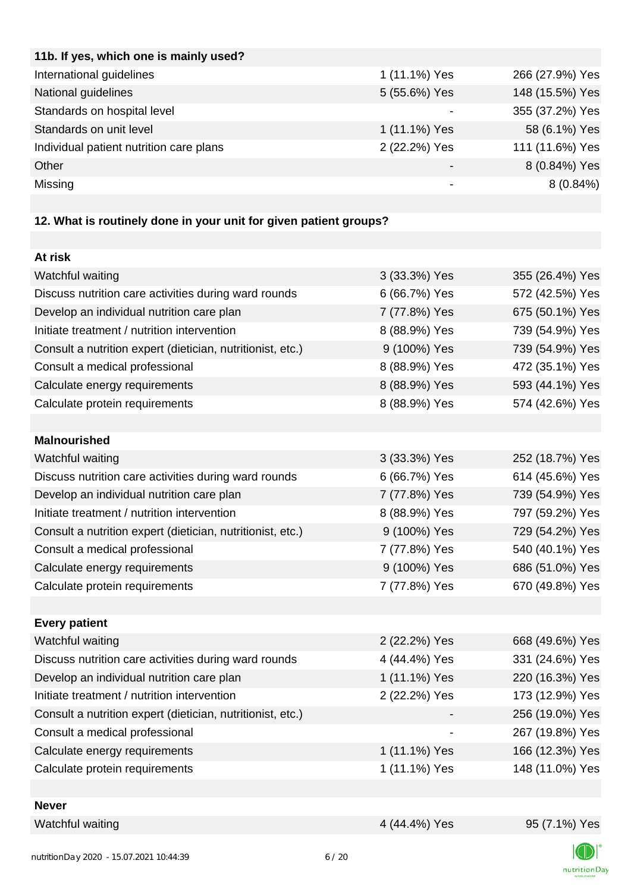| 1 (11.1%) Yes | 266 (27.9%) Yes |
|---------------|-----------------|
| 5 (55.6%) Yes | 148 (15.5%) Yes |
|               | 355 (37.2%) Yes |
| 1 (11.1%) Yes | 58 (6.1%) Yes   |
| 2 (22.2%) Yes | 111 (11.6%) Yes |
|               | 8 (0.84%) Yes   |
|               | $8(0.84\%)$     |
|               |                 |

# **12. What is routinely done in your unit for given patient groups?**

| At risk                                                    |               |                 |
|------------------------------------------------------------|---------------|-----------------|
| Watchful waiting                                           | 3 (33.3%) Yes | 355 (26.4%) Yes |
| Discuss nutrition care activities during ward rounds       | 6 (66.7%) Yes | 572 (42.5%) Yes |
| Develop an individual nutrition care plan                  | 7 (77.8%) Yes | 675 (50.1%) Yes |
| Initiate treatment / nutrition intervention                | 8 (88.9%) Yes | 739 (54.9%) Yes |
| Consult a nutrition expert (dietician, nutritionist, etc.) | 9 (100%) Yes  | 739 (54.9%) Yes |
| Consult a medical professional                             | 8 (88.9%) Yes | 472 (35.1%) Yes |
| Calculate energy requirements                              | 8 (88.9%) Yes | 593 (44.1%) Yes |
| Calculate protein requirements                             | 8 (88.9%) Yes | 574 (42.6%) Yes |
|                                                            |               |                 |
| <b>Malnourished</b>                                        |               |                 |
| Watchful waiting                                           | 3 (33.3%) Yes | 252 (18.7%) Yes |
| Discuss nutrition care activities during ward rounds       | 6 (66.7%) Yes | 614 (45.6%) Yes |
| Develop an individual nutrition care plan                  | 7 (77.8%) Yes | 739 (54.9%) Yes |
| Initiate treatment / nutrition intervention                | 8 (88.9%) Yes | 797 (59.2%) Yes |
| Consult a nutrition expert (dietician, nutritionist, etc.) | 9 (100%) Yes  | 729 (54.2%) Yes |
| Consult a medical professional                             | 7 (77.8%) Yes | 540 (40.1%) Yes |
| Calculate energy requirements                              | 9 (100%) Yes  | 686 (51.0%) Yes |
| Calculate protein requirements                             | 7 (77.8%) Yes | 670 (49.8%) Yes |
|                                                            |               |                 |
| <b>Every patient</b>                                       |               |                 |
| Watchful waiting                                           | 2 (22.2%) Yes | 668 (49.6%) Yes |
| Discuss nutrition care activities during ward rounds       | 4 (44.4%) Yes | 331 (24.6%) Yes |
| Develop an individual nutrition care plan                  | 1 (11.1%) Yes | 220 (16.3%) Yes |
| Initiate treatment / nutrition intervention                | 2 (22.2%) Yes | 173 (12.9%) Yes |
| Consult a nutrition expert (dietician, nutritionist, etc.) |               | 256 (19.0%) Yes |
| Consult a medical professional                             |               | 267 (19.8%) Yes |
| Calculate energy requirements                              | 1 (11.1%) Yes | 166 (12.3%) Yes |
| Calculate protein requirements                             | 1 (11.1%) Yes | 148 (11.0%) Yes |
|                                                            |               |                 |
| <b>Never</b>                                               |               |                 |
| Watchful waiting                                           | 4 (44.4%) Yes | 95 (7.1%) Yes   |

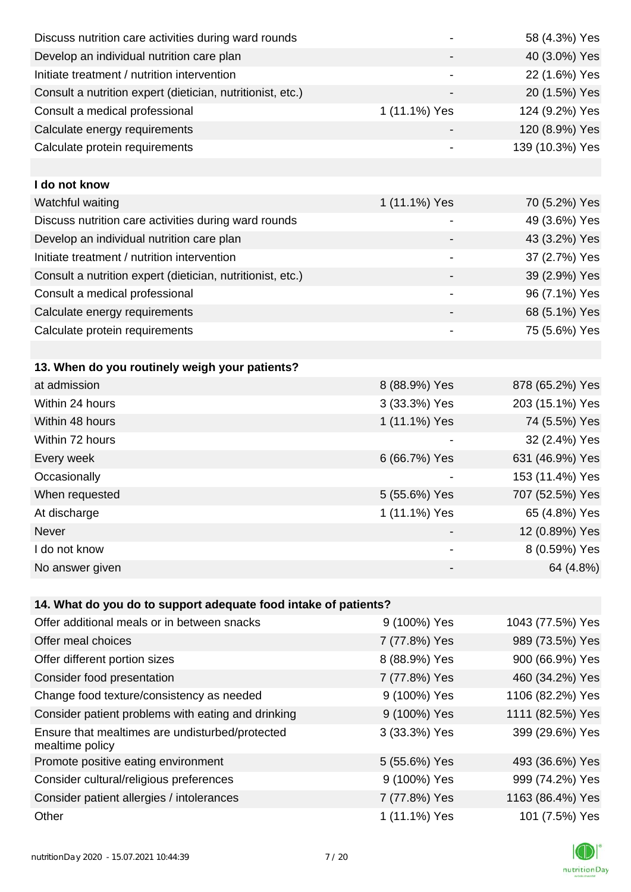| Discuss nutrition care activities during ward rounds               |               | 58 (4.3%) Yes    |
|--------------------------------------------------------------------|---------------|------------------|
| Develop an individual nutrition care plan                          |               | 40 (3.0%) Yes    |
| Initiate treatment / nutrition intervention                        |               | 22 (1.6%) Yes    |
| Consult a nutrition expert (dietician, nutritionist, etc.)         |               | 20 (1.5%) Yes    |
| Consult a medical professional                                     | 1 (11.1%) Yes | 124 (9.2%) Yes   |
| Calculate energy requirements                                      |               | 120 (8.9%) Yes   |
| Calculate protein requirements                                     |               | 139 (10.3%) Yes  |
|                                                                    |               |                  |
| I do not know                                                      |               |                  |
| Watchful waiting                                                   | 1 (11.1%) Yes | 70 (5.2%) Yes    |
| Discuss nutrition care activities during ward rounds               |               | 49 (3.6%) Yes    |
| Develop an individual nutrition care plan                          |               | 43 (3.2%) Yes    |
| Initiate treatment / nutrition intervention                        | -             | 37 (2.7%) Yes    |
| Consult a nutrition expert (dietician, nutritionist, etc.)         |               | 39 (2.9%) Yes    |
| Consult a medical professional                                     |               | 96 (7.1%) Yes    |
| Calculate energy requirements                                      |               | 68 (5.1%) Yes    |
| Calculate protein requirements                                     |               | 75 (5.6%) Yes    |
|                                                                    |               |                  |
| 13. When do you routinely weigh your patients?                     |               |                  |
| at admission                                                       | 8 (88.9%) Yes | 878 (65.2%) Yes  |
| Within 24 hours                                                    | 3 (33.3%) Yes | 203 (15.1%) Yes  |
| Within 48 hours                                                    | 1 (11.1%) Yes | 74 (5.5%) Yes    |
| Within 72 hours                                                    |               | 32 (2.4%) Yes    |
| Every week                                                         | 6 (66.7%) Yes | 631 (46.9%) Yes  |
| Occasionally                                                       |               | 153 (11.4%) Yes  |
| When requested                                                     | 5 (55.6%) Yes | 707 (52.5%) Yes  |
| At discharge                                                       | 1 (11.1%) Yes | 65 (4.8%) Yes    |
| Never                                                              |               | 12 (0.89%) Yes   |
| I do not know                                                      | -             | 8 (0.59%) Yes    |
| No answer given                                                    |               | 64 (4.8%)        |
|                                                                    |               |                  |
| 14. What do you do to support adequate food intake of patients?    |               |                  |
| Offer additional meals or in between snacks                        | 9 (100%) Yes  | 1043 (77.5%) Yes |
| Offer meal choices                                                 | 7 (77.8%) Yes | 989 (73.5%) Yes  |
| Offer different portion sizes                                      | 8 (88.9%) Yes | 900 (66.9%) Yes  |
| Consider food presentation                                         | 7 (77.8%) Yes | 460 (34.2%) Yes  |
| Change food texture/consistency as needed                          | 9 (100%) Yes  | 1106 (82.2%) Yes |
| Consider patient problems with eating and drinking                 | 9 (100%) Yes  | 1111 (82.5%) Yes |
| Ensure that mealtimes are undisturbed/protected<br>mealtime policy | 3 (33.3%) Yes | 399 (29.6%) Yes  |
| Promote positive eating environment                                | 5 (55.6%) Yes | 493 (36.6%) Yes  |
| Consider cultural/religious preferences                            | 9 (100%) Yes  | 999 (74.2%) Yes  |
| Consider patient allergies / intolerances                          | 7 (77.8%) Yes | 1163 (86.4%) Yes |
| Other                                                              | 1 (11.1%) Yes | 101 (7.5%) Yes   |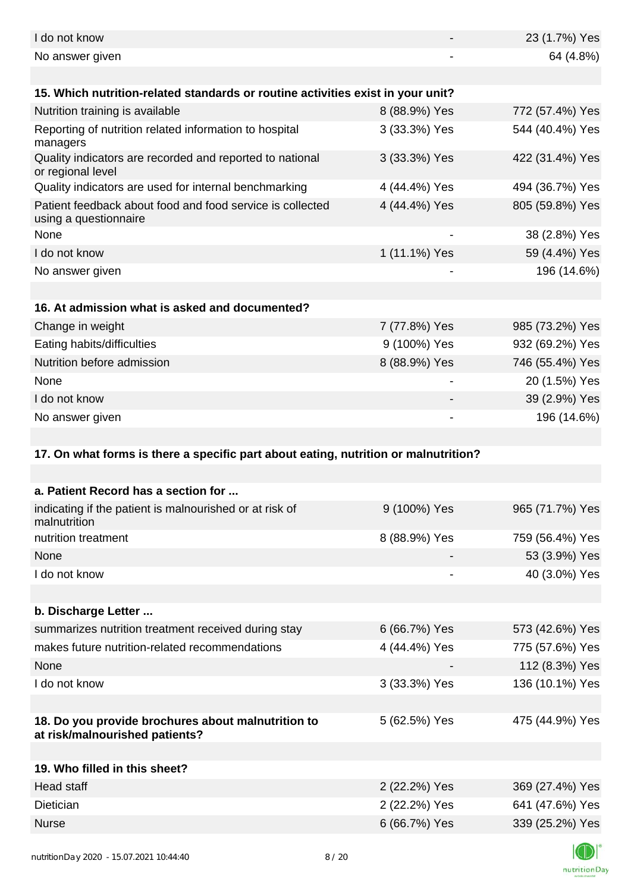| I do not know                                                                        |                | 23 (1.7%) Yes   |
|--------------------------------------------------------------------------------------|----------------|-----------------|
| No answer given                                                                      |                | 64 (4.8%)       |
| 15. Which nutrition-related standards or routine activities exist in your unit?      |                |                 |
| Nutrition training is available                                                      | 8 (88.9%) Yes  | 772 (57.4%) Yes |
| Reporting of nutrition related information to hospital<br>managers                   | 3 (33.3%) Yes  | 544 (40.4%) Yes |
| Quality indicators are recorded and reported to national<br>or regional level        | 3 (33.3%) Yes  | 422 (31.4%) Yes |
| Quality indicators are used for internal benchmarking                                | 4 (44.4%) Yes  | 494 (36.7%) Yes |
| Patient feedback about food and food service is collected<br>using a questionnaire   | 4 (44.4%) Yes  | 805 (59.8%) Yes |
| None                                                                                 |                | 38 (2.8%) Yes   |
| I do not know                                                                        | 1 (11.1%) Yes  | 59 (4.4%) Yes   |
| No answer given                                                                      |                | 196 (14.6%)     |
|                                                                                      |                |                 |
| 16. At admission what is asked and documented?                                       |                |                 |
| Change in weight                                                                     | 7 (77.8%) Yes  | 985 (73.2%) Yes |
| Eating habits/difficulties                                                           | 9 (100%) Yes   | 932 (69.2%) Yes |
| Nutrition before admission                                                           | 8 (88.9%) Yes  | 746 (55.4%) Yes |
| None                                                                                 |                | 20 (1.5%) Yes   |
| I do not know                                                                        |                | 39 (2.9%) Yes   |
| No answer given                                                                      | $\blacksquare$ | 196 (14.6%)     |
|                                                                                      |                |                 |
| 17. On what forms is there a specific part about eating, nutrition or malnutrition?  |                |                 |
|                                                                                      |                |                 |
| a. Patient Record has a section for                                                  |                |                 |
| indicating if the patient is malnourished or at risk of<br>malnutrition              | 9 (100%) Yes   | 965 (71.7%) Yes |
| nutrition treatment                                                                  | 8 (88.9%) Yes  | 759 (56.4%) Yes |
| None                                                                                 |                | 53 (3.9%) Yes   |
| I do not know                                                                        |                | 40 (3.0%) Yes   |
|                                                                                      |                |                 |
| b. Discharge Letter                                                                  |                |                 |
| summarizes nutrition treatment received during stay                                  | 6 (66.7%) Yes  | 573 (42.6%) Yes |
| makes future nutrition-related recommendations                                       | 4 (44.4%) Yes  | 775 (57.6%) Yes |
| None                                                                                 |                | 112 (8.3%) Yes  |
| I do not know                                                                        | 3 (33.3%) Yes  | 136 (10.1%) Yes |
|                                                                                      |                |                 |
| 18. Do you provide brochures about malnutrition to<br>at risk/malnourished patients? | 5 (62.5%) Yes  | 475 (44.9%) Yes |
|                                                                                      |                |                 |
| 19. Who filled in this sheet?                                                        |                |                 |
| <b>Head staff</b>                                                                    | 2 (22.2%) Yes  | 369 (27.4%) Yes |
| Dietician                                                                            | 2 (22.2%) Yes  | 641 (47.6%) Yes |
|                                                                                      |                |                 |
| <b>Nurse</b>                                                                         | 6 (66.7%) Yes  | 339 (25.2%) Yes |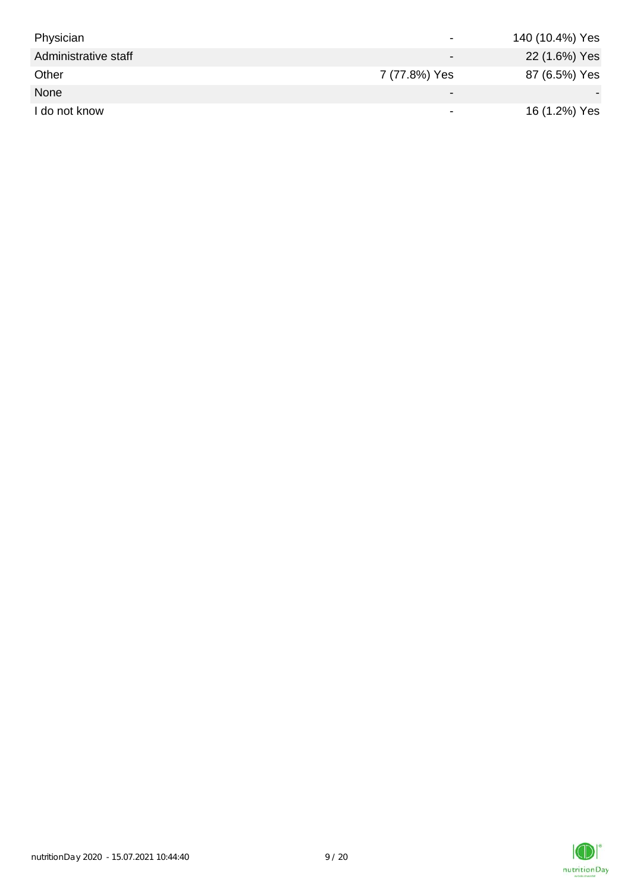| Physician            | $\overline{\phantom{0}}$ | 140 (10.4%) Yes |
|----------------------|--------------------------|-----------------|
| Administrative staff | $\overline{\phantom{0}}$ | 22 (1.6%) Yes   |
| Other                | 7 (77.8%) Yes            | 87 (6.5%) Yes   |
| None                 | $\,$                     |                 |
| I do not know        |                          | 16 (1.2%) Yes   |

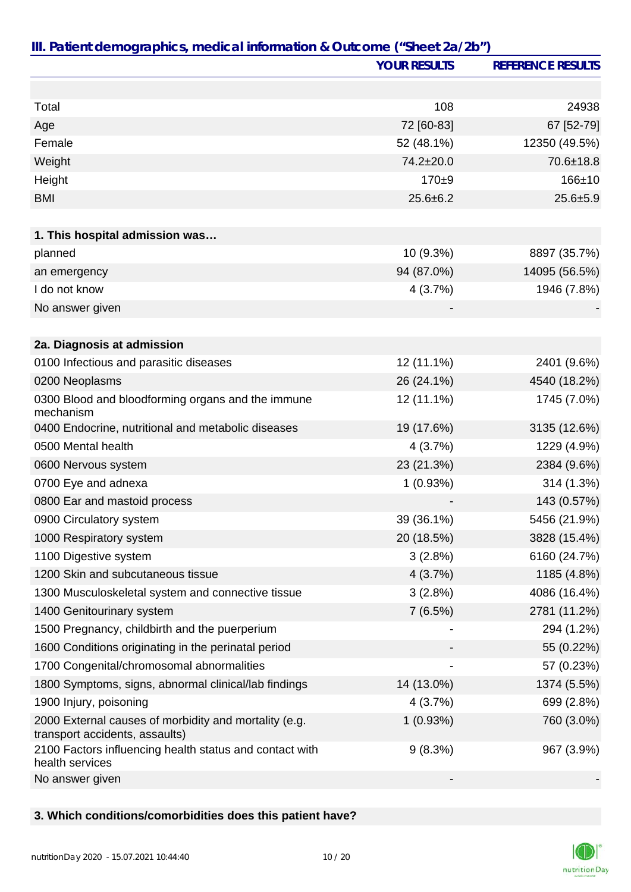|                                                                                         | <b>YOUR RESULTS</b> | <b>REFERENCE RESULTS</b> |
|-----------------------------------------------------------------------------------------|---------------------|--------------------------|
|                                                                                         |                     |                          |
| Total                                                                                   | 108                 | 24938                    |
| Age                                                                                     | 72 [60-83]          | 67 [52-79]               |
| Female                                                                                  | 52 (48.1%)          | 12350 (49.5%)            |
| Weight                                                                                  | 74.2±20.0           | 70.6±18.8                |
| Height                                                                                  | $170 + 9$           | $166 + 10$               |
| <b>BMI</b>                                                                              | $25.6 \pm 6.2$      | $25.6 + 5.9$             |
|                                                                                         |                     |                          |
| 1. This hospital admission was                                                          |                     |                          |
| planned                                                                                 | 10 (9.3%)           | 8897 (35.7%)             |
| an emergency                                                                            | 94 (87.0%)          | 14095 (56.5%)            |
| I do not know                                                                           | 4(3.7%)             | 1946 (7.8%)              |
| No answer given                                                                         |                     |                          |
|                                                                                         |                     |                          |
| 2a. Diagnosis at admission                                                              |                     |                          |
| 0100 Infectious and parasitic diseases                                                  | 12 (11.1%)          | 2401 (9.6%)              |
| 0200 Neoplasms                                                                          | 26 (24.1%)          | 4540 (18.2%)             |
| 0300 Blood and bloodforming organs and the immune<br>mechanism                          | 12 (11.1%)          | 1745 (7.0%)              |
| 0400 Endocrine, nutritional and metabolic diseases                                      | 19 (17.6%)          | 3135 (12.6%)             |
| 0500 Mental health                                                                      | 4(3.7%)             | 1229 (4.9%)              |
| 0600 Nervous system                                                                     | 23 (21.3%)          | 2384 (9.6%)              |
| 0700 Eye and adnexa                                                                     | 1(0.93%)            | 314 (1.3%)               |
| 0800 Ear and mastoid process                                                            |                     | 143 (0.57%)              |
| 0900 Circulatory system                                                                 | 39 (36.1%)          | 5456 (21.9%)             |
| 1000 Respiratory system                                                                 | 20 (18.5%)          | 3828 (15.4%)             |
| 1100 Digestive system                                                                   | 3(2.8%)             | 6160 (24.7%)             |
| 1200 Skin and subcutaneous tissue                                                       | 4(3.7%)             | 1185 (4.8%)              |
| 1300 Musculoskeletal system and connective tissue                                       | 3(2.8%)             | 4086 (16.4%)             |
| 1400 Genitourinary system                                                               | 7(6.5%)             | 2781 (11.2%)             |
| 1500 Pregnancy, childbirth and the puerperium                                           |                     | 294 (1.2%)               |
| 1600 Conditions originating in the perinatal period                                     |                     | 55 (0.22%)               |
| 1700 Congenital/chromosomal abnormalities                                               |                     | 57 (0.23%)               |
| 1800 Symptoms, signs, abnormal clinical/lab findings                                    | 14 (13.0%)          | 1374 (5.5%)              |
| 1900 Injury, poisoning                                                                  | 4(3.7%)             | 699 (2.8%)               |
| 2000 External causes of morbidity and mortality (e.g.<br>transport accidents, assaults) | 1(0.93%)            | 760 (3.0%)               |
| 2100 Factors influencing health status and contact with<br>health services              | 9(8.3%)             | 967 (3.9%)               |
| No answer given                                                                         |                     |                          |

## **3. Which conditions/comorbidities does this patient have?**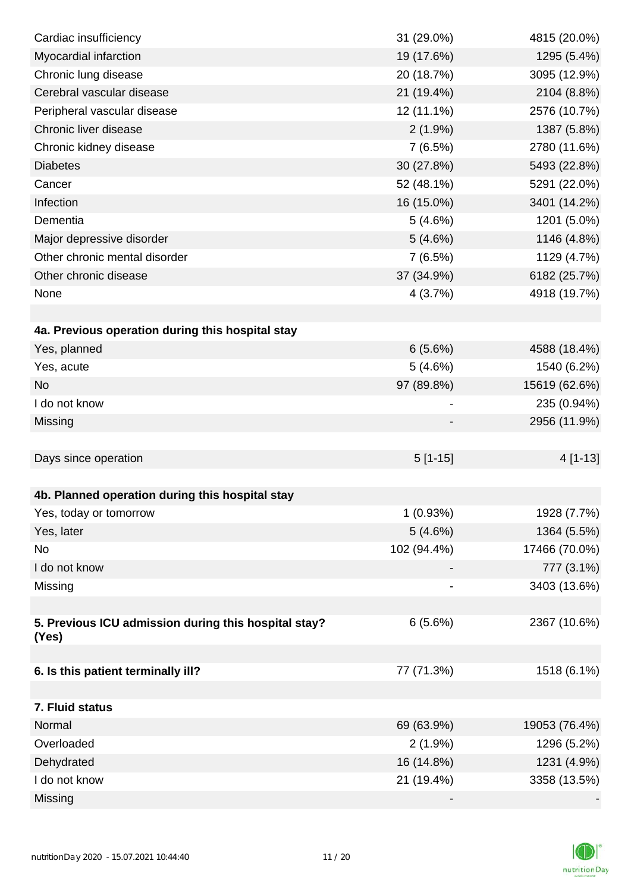| Cardiac insufficiency                                | 31 (29.0%)  | 4815 (20.0%)  |
|------------------------------------------------------|-------------|---------------|
| Myocardial infarction                                | 19 (17.6%)  | 1295 (5.4%)   |
| Chronic lung disease                                 | 20 (18.7%)  | 3095 (12.9%)  |
| Cerebral vascular disease                            | 21 (19.4%)  | 2104 (8.8%)   |
| Peripheral vascular disease                          | 12 (11.1%)  | 2576 (10.7%)  |
| Chronic liver disease                                | $2(1.9\%)$  | 1387 (5.8%)   |
| Chronic kidney disease                               | 7(6.5%)     | 2780 (11.6%)  |
| <b>Diabetes</b>                                      | 30 (27.8%)  | 5493 (22.8%)  |
| Cancer                                               | 52 (48.1%)  | 5291 (22.0%)  |
| Infection                                            | 16 (15.0%)  | 3401 (14.2%)  |
| Dementia                                             | 5(4.6%)     | 1201 (5.0%)   |
| Major depressive disorder                            | 5(4.6%)     | 1146 (4.8%)   |
| Other chronic mental disorder                        | 7(6.5%)     | 1129 (4.7%)   |
| Other chronic disease                                | 37 (34.9%)  | 6182 (25.7%)  |
| None                                                 | 4(3.7%)     | 4918 (19.7%)  |
|                                                      |             |               |
| 4a. Previous operation during this hospital stay     |             |               |
| Yes, planned                                         | 6(5.6%)     | 4588 (18.4%)  |
| Yes, acute                                           | 5(4.6%)     | 1540 (6.2%)   |
| <b>No</b>                                            | 97 (89.8%)  | 15619 (62.6%) |
| I do not know                                        |             | 235 (0.94%)   |
| Missing                                              |             | 2956 (11.9%)  |
|                                                      |             |               |
| Days since operation                                 | $5[1-15]$   | 4 [1-13]      |
|                                                      |             |               |
| 4b. Planned operation during this hospital stay      |             |               |
| Yes, today or tomorrow                               | 1(0.93%)    | 1928 (7.7%)   |
| Yes, later                                           | 5(4.6%)     | 1364 (5.5%)   |
| No                                                   | 102 (94.4%) | 17466 (70.0%) |
| I do not know                                        |             | 777 (3.1%)    |
| Missing                                              |             | 3403 (13.6%)  |
|                                                      |             |               |
| 5. Previous ICU admission during this hospital stay? | 6(5.6%)     | 2367 (10.6%)  |
| (Yes)                                                |             |               |
|                                                      | 77 (71.3%)  |               |
| 6. Is this patient terminally ill?                   |             | 1518 (6.1%)   |
| 7. Fluid status                                      |             |               |
| Normal                                               | 69 (63.9%)  | 19053 (76.4%) |
| Overloaded                                           | $2(1.9\%)$  | 1296 (5.2%)   |
| Dehydrated                                           | 16 (14.8%)  | 1231 (4.9%)   |
| I do not know                                        | 21 (19.4%)  | 3358 (13.5%)  |
|                                                      |             |               |
| Missing                                              |             |               |

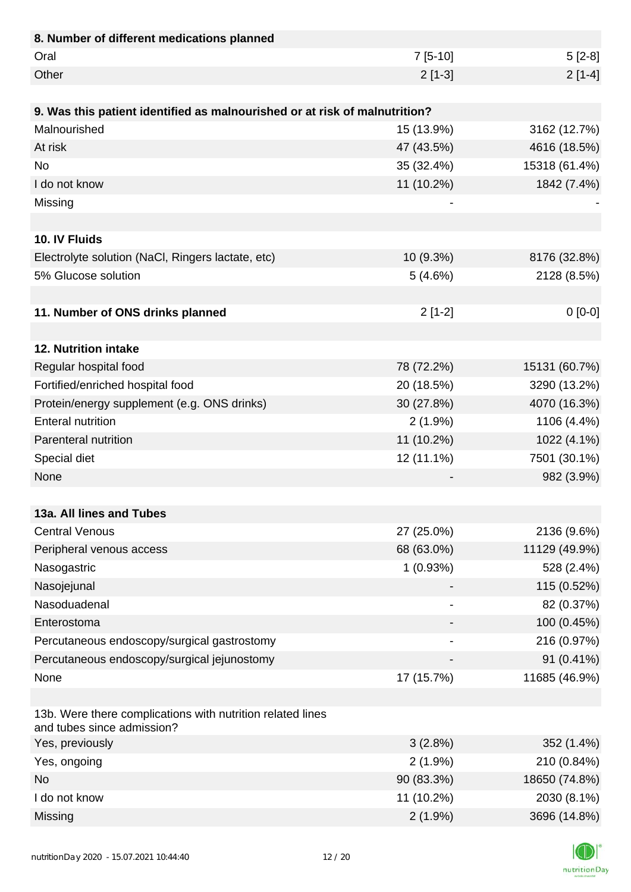| 8. Number of different medications planned                                               |            |               |
|------------------------------------------------------------------------------------------|------------|---------------|
| Oral                                                                                     | $7[5-10]$  | $5[2-8]$      |
| Other                                                                                    | $2[1-3]$   | $2[1-4]$      |
|                                                                                          |            |               |
| 9. Was this patient identified as malnourished or at risk of malnutrition?               |            |               |
| Malnourished                                                                             | 15 (13.9%) | 3162 (12.7%)  |
| At risk                                                                                  | 47 (43.5%) | 4616 (18.5%)  |
| <b>No</b>                                                                                | 35 (32.4%) | 15318 (61.4%) |
| I do not know                                                                            | 11 (10.2%) | 1842 (7.4%)   |
| Missing                                                                                  |            |               |
|                                                                                          |            |               |
| 10. IV Fluids                                                                            |            |               |
| Electrolyte solution (NaCl, Ringers lactate, etc)                                        | 10 (9.3%)  | 8176 (32.8%)  |
| 5% Glucose solution                                                                      | 5(4.6%)    | 2128 (8.5%)   |
|                                                                                          |            |               |
| 11. Number of ONS drinks planned                                                         | $2[1-2]$   | $0[0-0]$      |
|                                                                                          |            |               |
| 12. Nutrition intake                                                                     |            |               |
| Regular hospital food                                                                    | 78 (72.2%) | 15131 (60.7%) |
| Fortified/enriched hospital food                                                         | 20 (18.5%) | 3290 (13.2%)  |
| Protein/energy supplement (e.g. ONS drinks)                                              | 30 (27.8%) | 4070 (16.3%)  |
| <b>Enteral nutrition</b>                                                                 | $2(1.9\%)$ | 1106 (4.4%)   |
| Parenteral nutrition                                                                     | 11 (10.2%) | 1022 (4.1%)   |
| Special diet                                                                             | 12 (11.1%) | 7501 (30.1%)  |
| None                                                                                     |            | 982 (3.9%)    |
|                                                                                          |            |               |
| 13a. All lines and Tubes                                                                 |            |               |
| <b>Central Venous</b>                                                                    | 27 (25.0%) | 2136 (9.6%)   |
| Peripheral venous access                                                                 | 68 (63.0%) | 11129 (49.9%) |
| Nasogastric                                                                              | 1(0.93%)   | 528 (2.4%)    |
| Nasojejunal                                                                              |            | 115 (0.52%)   |
| Nasoduadenal                                                                             |            | 82 (0.37%)    |
| Enterostoma                                                                              |            | 100 (0.45%)   |
| Percutaneous endoscopy/surgical gastrostomy                                              |            | 216 (0.97%)   |
| Percutaneous endoscopy/surgical jejunostomy                                              |            | 91 (0.41%)    |
| None                                                                                     | 17 (15.7%) | 11685 (46.9%) |
|                                                                                          |            |               |
| 13b. Were there complications with nutrition related lines<br>and tubes since admission? |            |               |
| Yes, previously                                                                          | 3(2.8%)    | 352 (1.4%)    |
| Yes, ongoing                                                                             | $2(1.9\%)$ | 210 (0.84%)   |
| <b>No</b>                                                                                | 90 (83.3%) | 18650 (74.8%) |
| I do not know                                                                            | 11 (10.2%) | 2030 (8.1%)   |
| Missing                                                                                  | $2(1.9\%)$ | 3696 (14.8%)  |

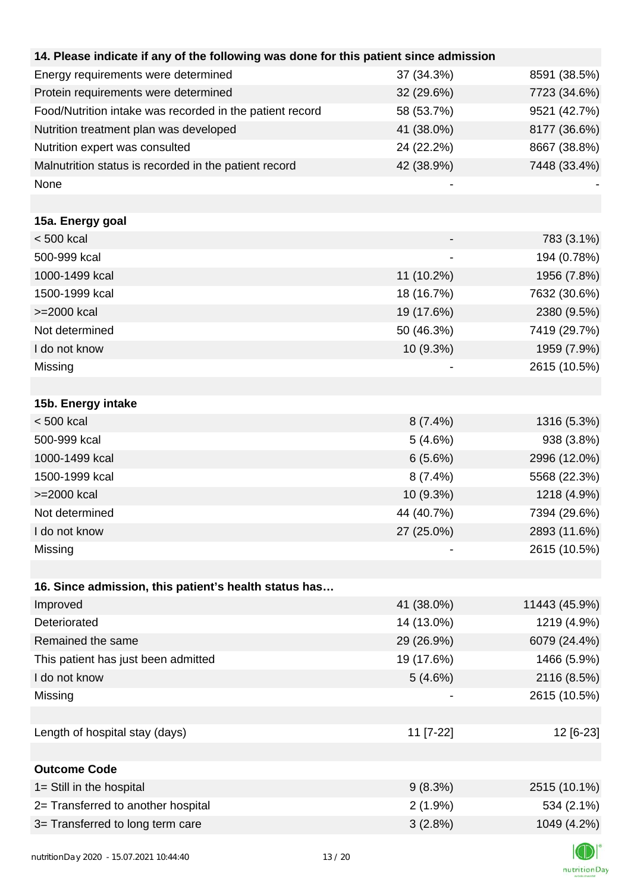| 14. Please indicate if any of the following was done for this patient since admission |            |               |
|---------------------------------------------------------------------------------------|------------|---------------|
| Energy requirements were determined                                                   | 37 (34.3%) | 8591 (38.5%)  |
| Protein requirements were determined                                                  | 32 (29.6%) | 7723 (34.6%)  |
| Food/Nutrition intake was recorded in the patient record                              | 58 (53.7%) | 9521 (42.7%)  |
| Nutrition treatment plan was developed                                                | 41 (38.0%) | 8177 (36.6%)  |
| Nutrition expert was consulted                                                        | 24 (22.2%) | 8667 (38.8%)  |
| Malnutrition status is recorded in the patient record                                 | 42 (38.9%) | 7448 (33.4%)  |
| None                                                                                  |            |               |
|                                                                                       |            |               |
| 15a. Energy goal                                                                      |            |               |
| < 500 kcal                                                                            |            | 783 (3.1%)    |
| 500-999 kcal                                                                          |            | 194 (0.78%)   |
| 1000-1499 kcal                                                                        | 11 (10.2%) | 1956 (7.8%)   |
| 1500-1999 kcal                                                                        | 18 (16.7%) | 7632 (30.6%)  |
| >=2000 kcal                                                                           | 19 (17.6%) | 2380 (9.5%)   |
| Not determined                                                                        | 50 (46.3%) | 7419 (29.7%)  |
| I do not know                                                                         | 10 (9.3%)  | 1959 (7.9%)   |
| Missing                                                                               |            | 2615 (10.5%)  |
|                                                                                       |            |               |
| 15b. Energy intake                                                                    |            |               |
| $< 500$ kcal                                                                          | $8(7.4\%)$ | 1316 (5.3%)   |
| 500-999 kcal                                                                          | 5(4.6%)    | 938 (3.8%)    |
| 1000-1499 kcal                                                                        | 6(5.6%)    | 2996 (12.0%)  |
| 1500-1999 kcal                                                                        | 8(7.4%)    | 5568 (22.3%)  |
| >=2000 kcal                                                                           | 10 (9.3%)  | 1218 (4.9%)   |
| Not determined                                                                        | 44 (40.7%) | 7394 (29.6%)  |
| I do not know                                                                         | 27 (25.0%) | 2893 (11.6%)  |
| Missing                                                                               |            | 2615 (10.5%)  |
|                                                                                       |            |               |
| 16. Since admission, this patient's health status has                                 |            |               |
| Improved                                                                              | 41 (38.0%) | 11443 (45.9%) |
| Deteriorated                                                                          | 14 (13.0%) | 1219 (4.9%)   |
| Remained the same                                                                     | 29 (26.9%) | 6079 (24.4%)  |
| This patient has just been admitted                                                   | 19 (17.6%) | 1466 (5.9%)   |
| I do not know                                                                         | 5(4.6%)    | 2116 (8.5%)   |
| Missing                                                                               |            | 2615 (10.5%)  |
|                                                                                       |            |               |
| Length of hospital stay (days)                                                        | 11 [7-22]  | 12 [6-23]     |
|                                                                                       |            |               |
| <b>Outcome Code</b>                                                                   |            |               |
| 1= Still in the hospital                                                              | 9(8.3%)    | 2515 (10.1%)  |
| 2= Transferred to another hospital                                                    | $2(1.9\%)$ | 534 (2.1%)    |
| 3= Transferred to long term care                                                      | 3(2.8%)    | 1049 (4.2%)   |
|                                                                                       |            |               |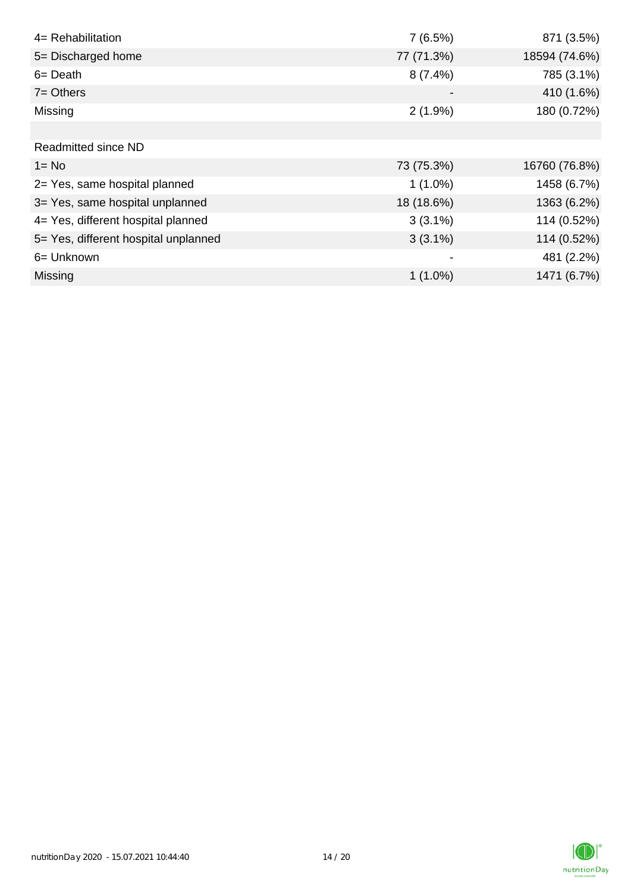| 4= Rehabilitation                    | 7(6.5%)    | 871 (3.5%)    |
|--------------------------------------|------------|---------------|
| 5= Discharged home                   | 77 (71.3%) | 18594 (74.6%) |
| $6 = Death$                          | $8(7.4\%)$ | 785 (3.1%)    |
| $7 = Others$                         |            | 410 (1.6%)    |
| Missing                              | $2(1.9\%)$ | 180 (0.72%)   |
|                                      |            |               |
| <b>Readmitted since ND</b>           |            |               |
| $1 = No$                             | 73 (75.3%) | 16760 (76.8%) |
| 2= Yes, same hospital planned        | $1(1.0\%)$ | 1458 (6.7%)   |
| 3= Yes, same hospital unplanned      | 18 (18.6%) | 1363 (6.2%)   |
| 4= Yes, different hospital planned   | $3(3.1\%)$ | 114 (0.52%)   |
| 5= Yes, different hospital unplanned | $3(3.1\%)$ | 114 (0.52%)   |
| 6= Unknown                           |            | 481 (2.2%)    |
| <b>Missing</b>                       | $1(1.0\%)$ | 1471 (6.7%)   |

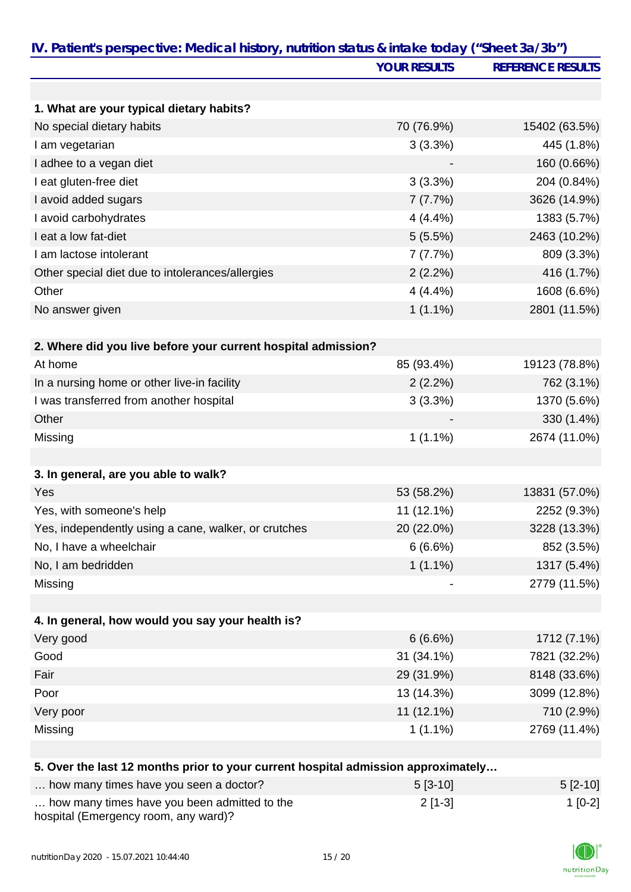| IV. Patient's perspective: Medical history, nutrition status & intake today ("Sheet 3a/3b") |                     |                          |
|---------------------------------------------------------------------------------------------|---------------------|--------------------------|
|                                                                                             | <b>YOUR RESULTS</b> | <b>REFERENCE RESULTS</b> |
|                                                                                             |                     |                          |
| 1. What are your typical dietary habits?                                                    |                     |                          |
| No special dietary habits                                                                   | 70 (76.9%)          | 15402 (63.5%)            |
| I am vegetarian                                                                             | 3(3.3%)             | 445 (1.8%)               |
| I adhee to a vegan diet                                                                     |                     | 160 (0.66%)              |
| I eat gluten-free diet                                                                      | 3(3.3%)             | 204 (0.84%)              |
| I avoid added sugars                                                                        | 7(7.7%)             | 3626 (14.9%)             |
| I avoid carbohydrates                                                                       | 4(4.4%)             | 1383 (5.7%)              |
| I eat a low fat-diet                                                                        | 5(5.5%)             | 2463 (10.2%)             |
| I am lactose intolerant                                                                     | 7(7.7%)             | 809 (3.3%)               |
| Other special diet due to intolerances/allergies                                            | 2(2.2%)             | 416 (1.7%)               |
| Other                                                                                       | 4(4.4%)             | 1608 (6.6%)              |
| No answer given                                                                             | $1(1.1\%)$          | 2801 (11.5%)             |
|                                                                                             |                     |                          |
| 2. Where did you live before your current hospital admission?                               |                     |                          |
| At home                                                                                     | 85 (93.4%)          | 19123 (78.8%)            |
| In a nursing home or other live-in facility                                                 | 2(2.2%)             | 762 (3.1%)               |
| I was transferred from another hospital                                                     | 3(3.3%)             | 1370 (5.6%)              |
| Other                                                                                       |                     | 330 (1.4%)               |
| Missing                                                                                     | $1(1.1\%)$          | 2674 (11.0%)             |
|                                                                                             |                     |                          |
| 3. In general, are you able to walk?                                                        |                     |                          |
| Yes                                                                                         | 53 (58.2%)          | 13831 (57.0%)            |
| Yes, with someone's help                                                                    | 11 (12.1%)          | 2252 (9.3%)              |
| Yes, independently using a cane, walker, or crutches                                        | 20 (22.0%)          | 3228 (13.3%)             |
| No, I have a wheelchair                                                                     | 6(6.6%)             | 852 (3.5%)               |
| No, I am bedridden                                                                          | $1(1.1\%)$          | 1317 (5.4%)              |
| Missing                                                                                     |                     | 2779 (11.5%)             |
|                                                                                             |                     |                          |
| 4. In general, how would you say your health is?                                            |                     |                          |
| Very good                                                                                   | 6(6.6%)             | 1712 (7.1%)              |
| Good                                                                                        | 31 (34.1%)          | 7821 (32.2%)             |
| Fair                                                                                        | 29 (31.9%)          | 8148 (33.6%)             |
| Poor                                                                                        | 13 (14.3%)          | 3099 (12.8%)             |
| Very poor                                                                                   | 11 (12.1%)          | 710 (2.9%)               |
| Missing                                                                                     | $1(1.1\%)$          | 2769 (11.4%)             |
|                                                                                             |                     |                          |
| 5. Over the last 12 months prior to your current hospital admission approximately           |                     |                          |
| how many times have you seen a doctor?                                                      | $5[3-10]$           | $5[2-10]$                |
| how many times have you been admitted to the                                                | $2[1-3]$            | $1[0-2]$                 |

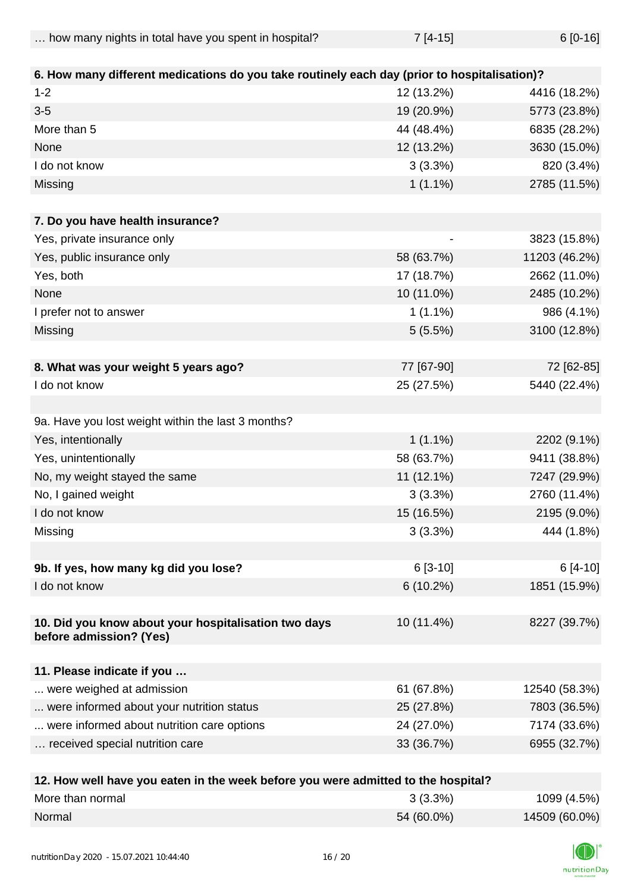| how many nights in total have you spent in hospital? | $7[4-15]$ | $6[0-16]$ |
|------------------------------------------------------|-----------|-----------|
|                                                      |           |           |

| 6. How many different medications do you take routinely each day (prior to hospitalisation)? |                          |               |
|----------------------------------------------------------------------------------------------|--------------------------|---------------|
| $1 - 2$                                                                                      | 12 (13.2%)               | 4416 (18.2%)  |
| $3-5$                                                                                        | 19 (20.9%)               | 5773 (23.8%)  |
| More than 5                                                                                  | 44 (48.4%)               | 6835 (28.2%)  |
| None                                                                                         | 12 (13.2%)               | 3630 (15.0%)  |
| I do not know                                                                                | 3(3.3%)                  | 820 (3.4%)    |
| Missing                                                                                      | $1(1.1\%)$               | 2785 (11.5%)  |
|                                                                                              |                          |               |
| 7. Do you have health insurance?                                                             |                          |               |
| Yes, private insurance only                                                                  | $\overline{\phantom{a}}$ | 3823 (15.8%)  |
| Yes, public insurance only                                                                   | 58 (63.7%)               | 11203 (46.2%) |
| Yes, both                                                                                    | 17 (18.7%)               | 2662 (11.0%)  |
| None                                                                                         | 10 (11.0%)               | 2485 (10.2%)  |
| I prefer not to answer                                                                       | $1(1.1\%)$               | 986 (4.1%)    |
| Missing                                                                                      | 5(5.5%)                  | 3100 (12.8%)  |
|                                                                                              |                          |               |
| 8. What was your weight 5 years ago?                                                         | 77 [67-90]               | 72 [62-85]    |
| I do not know                                                                                | 25 (27.5%)               | 5440 (22.4%)  |
|                                                                                              |                          |               |
| 9a. Have you lost weight within the last 3 months?                                           |                          |               |
| Yes, intentionally                                                                           | $1(1.1\%)$               | 2202 (9.1%)   |
| Yes, unintentionally                                                                         | 58 (63.7%)               | 9411 (38.8%)  |
| No, my weight stayed the same                                                                | 11 (12.1%)               | 7247 (29.9%)  |
| No, I gained weight                                                                          | 3(3.3%)                  | 2760 (11.4%)  |
| I do not know                                                                                | 15 (16.5%)               | 2195 (9.0%)   |
| Missing                                                                                      | 3(3.3%)                  | 444 (1.8%)    |
|                                                                                              |                          |               |
| 9b. If yes, how many kg did you lose?                                                        | $6[3-10]$                | $6[4-10]$     |
| I do not know                                                                                | 6(10.2%)                 | 1851 (15.9%)  |
|                                                                                              |                          |               |
| 10. Did you know about your hospitalisation two days                                         | 10 (11.4%)               | 8227 (39.7%)  |
| before admission? (Yes)                                                                      |                          |               |
|                                                                                              |                          |               |
| 11. Please indicate if you                                                                   |                          |               |
| were weighed at admission                                                                    | 61 (67.8%)               | 12540 (58.3%) |
| were informed about your nutrition status                                                    | 25 (27.8%)               | 7803 (36.5%)  |
| were informed about nutrition care options                                                   | 24 (27.0%)               | 7174 (33.6%)  |
| received special nutrition care                                                              | 33 (36.7%)               | 6955 (32.7%)  |
|                                                                                              |                          |               |
| 12 How well have you eaten in the week before you were admitted to the hospital?             |                          |               |

| TZ. How well have you eaten in the week before you were admitted to the hospital? |            |               |
|-----------------------------------------------------------------------------------|------------|---------------|
| More than normal                                                                  | $3(3.3\%)$ | 1099 (4.5%)   |
| Normal                                                                            | 54 (60.0%) | 14509 (60.0%) |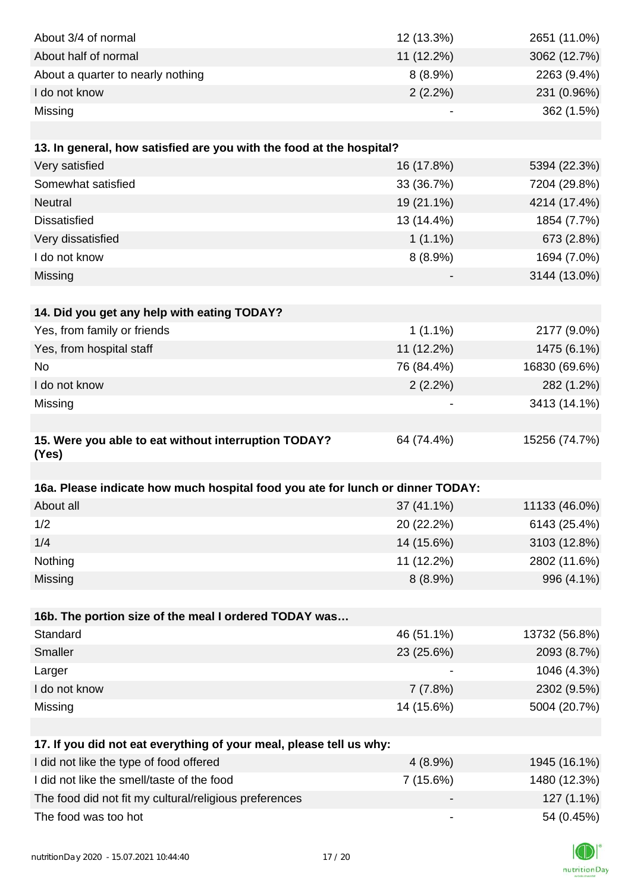| About 3/4 of normal                                                                         | 12 (13.3%)               | 2651 (11.0%)  |
|---------------------------------------------------------------------------------------------|--------------------------|---------------|
| About half of normal                                                                        | 11 (12.2%)               | 3062 (12.7%)  |
| About a quarter to nearly nothing                                                           | $8(8.9\%)$               | 2263 (9.4%)   |
| I do not know                                                                               | $2(2.2\%)$               | 231 (0.96%)   |
| Missing                                                                                     |                          | 362 (1.5%)    |
|                                                                                             |                          |               |
| 13. In general, how satisfied are you with the food at the hospital?                        |                          |               |
| Very satisfied                                                                              | 16 (17.8%)               | 5394 (22.3%)  |
| Somewhat satisfied                                                                          | 33 (36.7%)               | 7204 (29.8%)  |
| <b>Neutral</b>                                                                              | 19 (21.1%)               | 4214 (17.4%)  |
| <b>Dissatisfied</b>                                                                         | 13 (14.4%)               | 1854 (7.7%)   |
| Very dissatisfied                                                                           | $1(1.1\%)$               | 673 (2.8%)    |
| I do not know                                                                               | 8(8.9%)                  | 1694 (7.0%)   |
| Missing                                                                                     |                          | 3144 (13.0%)  |
|                                                                                             |                          |               |
| 14. Did you get any help with eating TODAY?                                                 |                          |               |
| Yes, from family or friends                                                                 | $1(1.1\%)$               | 2177 (9.0%)   |
| Yes, from hospital staff                                                                    | 11 (12.2%)               | 1475 (6.1%)   |
| No                                                                                          | 76 (84.4%)               | 16830 (69.6%) |
| I do not know                                                                               | 2(2.2%)                  | 282 (1.2%)    |
| Missing                                                                                     |                          | 3413 (14.1%)  |
|                                                                                             |                          |               |
| 15. Were you able to eat without interruption TODAY?<br>(Yes)                               | 64 (74.4%)               | 15256 (74.7%) |
|                                                                                             |                          |               |
| 16a. Please indicate how much hospital food you ate for lunch or dinner TODAY:<br>About all | 37 (41.1%)               | 11133 (46.0%) |
| 1/2                                                                                         | 20 (22.2%)               | 6143 (25.4%)  |
|                                                                                             |                          |               |
| 1/4                                                                                         | 14 (15.6%)               | 3103 (12.8%)  |
| Nothing                                                                                     | 11 (12.2%)               | 2802 (11.6%)  |
| Missing                                                                                     | 8(8.9%)                  | 996 (4.1%)    |
|                                                                                             |                          |               |
| 16b. The portion size of the meal I ordered TODAY was                                       |                          |               |
| Standard                                                                                    | 46 (51.1%)               | 13732 (56.8%) |
| Smaller                                                                                     | 23 (25.6%)               | 2093 (8.7%)   |
| Larger                                                                                      |                          | 1046 (4.3%)   |
| I do not know                                                                               | 7(7.8%)                  | 2302 (9.5%)   |
| Missing                                                                                     | 14 (15.6%)               | 5004 (20.7%)  |
|                                                                                             |                          |               |
| 17. If you did not eat everything of your meal, please tell us why:                         |                          |               |
| I did not like the type of food offered                                                     | 4(8.9%)                  | 1945 (16.1%)  |
| I did not like the smell/taste of the food                                                  | 7(15.6%)                 | 1480 (12.3%)  |
| The food did not fit my cultural/religious preferences                                      |                          | 127 (1.1%)    |
| The food was too hot                                                                        | $\overline{\phantom{a}}$ | 54 (0.45%)    |

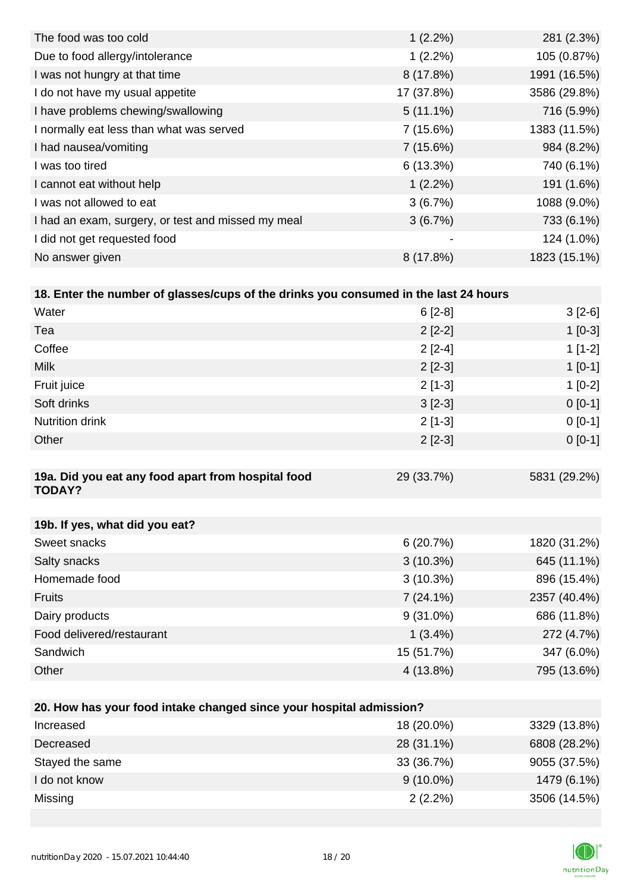| The food was too cold                              | $1(2.2\%)$               | 281 (2.3%)   |
|----------------------------------------------------|--------------------------|--------------|
| Due to food allergy/intolerance                    | $1(2.2\%)$               | 105 (0.87%)  |
| I was not hungry at that time                      | 8(17.8%)                 | 1991 (16.5%) |
| I do not have my usual appetite                    | 17 (37.8%)               | 3586 (29.8%) |
| I have problems chewing/swallowing                 | $5(11.1\%)$              | 716 (5.9%)   |
| I normally eat less than what was served           | 7(15.6%)                 | 1383 (11.5%) |
| I had nausea/vomiting                              | 7(15.6%)                 | 984 (8.2%)   |
| I was too tired                                    | 6(13.3%)                 | 740 (6.1%)   |
| I cannot eat without help                          | $1(2.2\%)$               | 191 (1.6%)   |
| I was not allowed to eat                           | 3(6.7%)                  | 1088 (9.0%)  |
| I had an exam, surgery, or test and missed my meal | 3(6.7%)                  | 733 (6.1%)   |
| I did not get requested food                       | $\overline{\phantom{a}}$ | 124 (1.0%)   |
| No answer given                                    | 8(17.8%)                 | 1823 (15.1%) |

| 18. Enter the number of glasses/cups of the drinks you consumed in the last 24 hours |  |
|--------------------------------------------------------------------------------------|--|
|--------------------------------------------------------------------------------------|--|

| Water                                                               | $6[2-8]$       | $3[2-6]$     |
|---------------------------------------------------------------------|----------------|--------------|
| Tea                                                                 | $2[2-2]$       | $1[0-3]$     |
| Coffee                                                              | $2[2-4]$       | $1[1-2]$     |
| <b>Milk</b>                                                         | $2[2-3]$       | $1[0-1]$     |
| Fruit juice                                                         | $2[1-3]$       | $1[0-2]$     |
| Soft drinks                                                         | $3[2-3]$       | $0[0-1]$     |
| <b>Nutrition drink</b>                                              | $2[1-3]$       | $0[0-1]$     |
| Other                                                               | $2[2-3]$       | $0[0-1]$     |
|                                                                     |                |              |
| 19a. Did you eat any food apart from hospital food<br><b>TODAY?</b> | 29 (33.7%)     | 5831 (29.2%) |
|                                                                     |                |              |
| 19b. If yes, what did you eat?                                      |                |              |
| Sweet snacks                                                        | 6(20.7%)       | 1820 (31.2%) |
| Salty snacks                                                        | $3(10.3\%)$    | 645 (11.1%)  |
| Homemade food                                                       | $3(10.3\%)$    | 896 (15.4%)  |
| Fruits                                                              | $7(24.1\%)$    | 2357 (40.4%) |
| Dairy products                                                      | $9(31.0\%)$    | 686 (11.8%)  |
| Food delivered/restaurant                                           | $1(3.4\%)$     | 272 (4.7%)   |
| Sandwich                                                            | 15 (51.7%)     | 347 (6.0%)   |
| Other                                                               | 4 (13.8%)      | 795 (13.6%)  |
|                                                                     |                |              |
| 20. How has your food intake changed since your hospital admission? |                |              |
| Incroacod                                                           | 18 (20 $00(1)$ | 3320 (13.80) |

| Increased       | 18 (20.0%)  | 3329 (13.8%) |
|-----------------|-------------|--------------|
| Decreased       | 28 (31.1%)  | 6808 (28.2%) |
| Stayed the same | 33 (36.7%)  | 9055 (37.5%) |
| I do not know   | $9(10.0\%)$ | 1479 (6.1%)  |
| Missing         | $2(2.2\%)$  | 3506 (14.5%) |

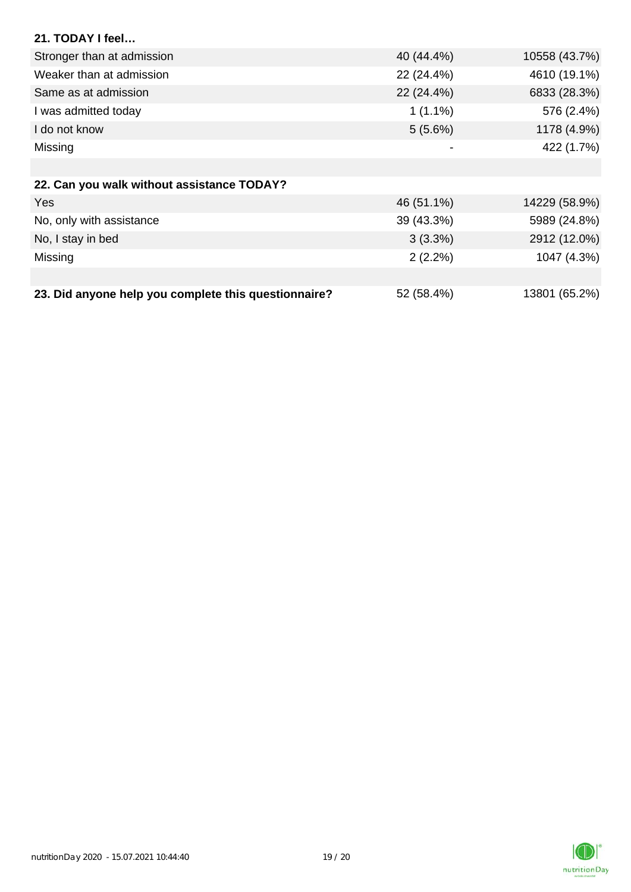| 21. TODAY I feel                                     |            |               |
|------------------------------------------------------|------------|---------------|
| Stronger than at admission                           | 40 (44.4%) | 10558 (43.7%) |
| Weaker than at admission                             | 22 (24.4%) | 4610 (19.1%)  |
| Same as at admission                                 | 22 (24.4%) | 6833 (28.3%)  |
| I was admitted today                                 | $1(1.1\%)$ | 576 (2.4%)    |
| I do not know                                        | $5(5.6\%)$ | 1178 (4.9%)   |
| Missing                                              |            | 422 (1.7%)    |
|                                                      |            |               |
| 22. Can you walk without assistance TODAY?           |            |               |
| <b>Yes</b>                                           | 46 (51.1%) | 14229 (58.9%) |
| No, only with assistance                             | 39 (43.3%) | 5989 (24.8%)  |
| No, I stay in bed                                    | $3(3.3\%)$ | 2912 (12.0%)  |
| Missing                                              | $2(2.2\%)$ | 1047 (4.3%)   |
|                                                      |            |               |
| 23. Did anyone help you complete this questionnaire? | 52 (58.4%) | 13801 (65.2%) |